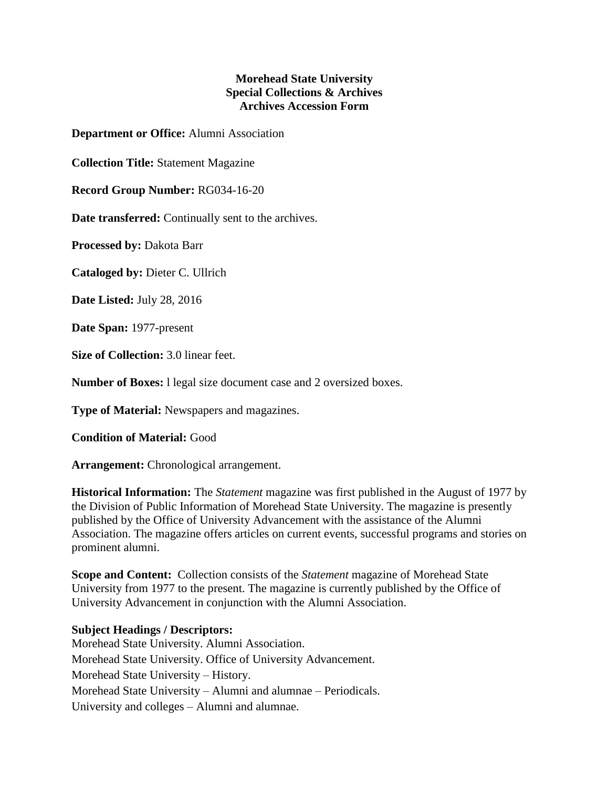## **Morehead State University Special Collections & Archives Archives Accession Form**

**Department or Office:** Alumni Association

**Collection Title:** Statement Magazine

**Record Group Number:** RG034-16-20

**Date transferred:** Continually sent to the archives.

**Processed by:** Dakota Barr

**Cataloged by:** Dieter C. Ullrich

**Date Listed:** July 28, 2016

**Date Span:** 1977-present

**Size of Collection:** 3.0 linear feet.

**Number of Boxes:** l legal size document case and 2 oversized boxes.

**Type of Material:** Newspapers and magazines.

**Condition of Material:** Good

**Arrangement:** Chronological arrangement.

**Historical Information:** The *Statement* magazine was first published in the August of 1977 by the Division of Public Information of Morehead State University. The magazine is presently published by the Office of University Advancement with the assistance of the Alumni Association. The magazine offers articles on current events, successful programs and stories on prominent alumni.

**Scope and Content:** Collection consists of the *Statement* magazine of Morehead State University from 1977 to the present. The magazine is currently published by the Office of University Advancement in conjunction with the Alumni Association.

## **Subject Headings / Descriptors:**

Morehead State University. Alumni Association. Morehead State University. Office of University Advancement. Morehead State University – History. Morehead State University – Alumni and alumnae – Periodicals. University and colleges – Alumni and alumnae.